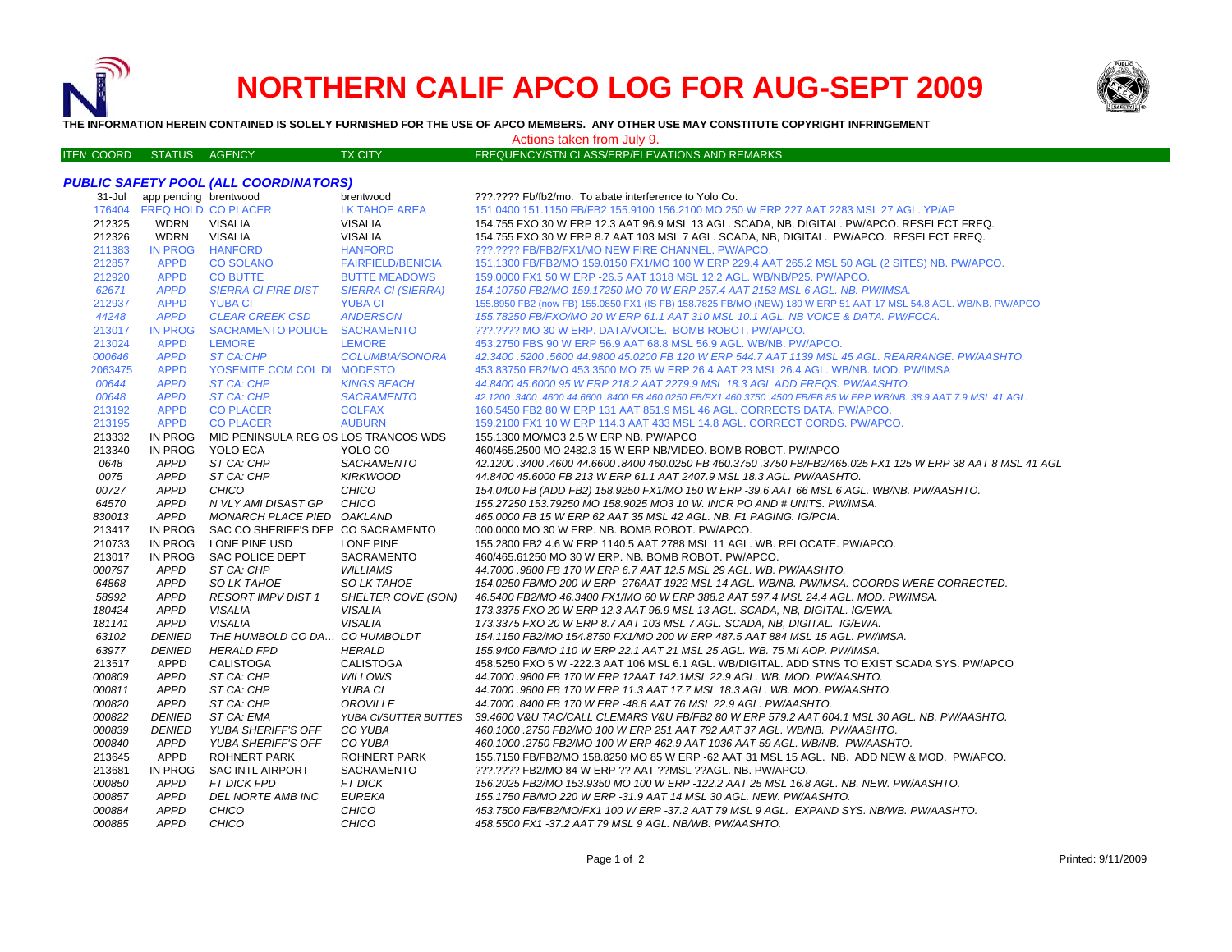

# **NORTHERN CALIF APCO LOG FOR AUG-SEPT 2009**



**THE INFORMATION HEREIN CONTAINED IS SOLELY FURNISHED FOR THE USE OF APCO MEMBERS. ANY OTHER USE MAY CONSTITUTE COPYRIGHT INFRINGEMENT**

#### Actions taken from July 9.

#### ITE MTX CITY FREQUENCY/STN CLASS/ERP/ELEVATIONS AND REMARKS

## *PUBLIC SAFETY POOL (ALL COORDINATORS)*

| $31 -$ Jul | app pending brentwood      |                                      | brentwood                 | ???.???? Fb/fb2/mo. To abate interference to Yolo Co.                                                              |
|------------|----------------------------|--------------------------------------|---------------------------|--------------------------------------------------------------------------------------------------------------------|
|            | 176404 FREQ HOLD CO PLACER |                                      | <b>LK TAHOE AREA</b>      | 151.0400 151.1150 FB/FB2 155.9100 156.2100 MO 250 W ERP 227 AAT 2283 MSL 27 AGL. YP/AP                             |
| 212325     | WDRN                       | VISALIA                              | <b>VISALIA</b>            | 154.755 FXO 30 W ERP 12.3 AAT 96.9 MSL 13 AGL. SCADA, NB, DIGITAL. PW/APCO. RESELECT FREQ.                         |
| 212326     | <b>WDRN</b>                | <b>VISALIA</b>                       | <b>VISALIA</b>            | 154.755 FXO 30 W ERP 8.7 AAT 103 MSL 7 AGL. SCADA, NB, DIGITAL. PW/APCO. RESELECT FREQ.                            |
| 211383     | <b>IN PROG</b>             | <b>HANFORD</b>                       | <b>HANFORD</b>            | ???.???? FB/FB2/FX1/MO NEW FIRE CHANNEL. PW/APCO.                                                                  |
| 212857     | <b>APPD</b>                | <b>CO SOLANO</b>                     | <b>FAIRFIELD/BENICIA</b>  | 151.1300 FB/FB2/MO 159.0150 FX1/MO 100 W ERP 229.4 AAT 265.2 MSL 50 AGL (2 SITES) NB. PW/APCO.                     |
| 212920     | <b>APPD</b>                | <b>CO BUTTE</b>                      | <b>BUTTE MEADOWS</b>      | 159.0000 FX1 50 W ERP - 26.5 AAT 1318 MSL 12.2 AGL. WB/NB/P25. PW/APCO.                                            |
| 62671      | <b>APPD</b>                | <b>SIERRA CI FIRE DIST</b>           | <b>SIERRA CI (SIERRA)</b> | 154.10750 FB2/MO 159.17250 MO 70 W ERP 257.4 AAT 2153 MSL 6 AGL. NB. PW/IMSA.                                      |
| 212937     | <b>APPD</b>                | <b>YUBA CI</b>                       | <b>YUBA CI</b>            | 155.8950 FB2 (now FB) 155.0850 FX1 (IS FB) 158.7825 FB/MO (NEW) 180 W ERP 51 AAT 17 MSL 54.8 AGL. WB/NB. PW/APCO   |
| 44248      | <b>APPD</b>                | <b>CLEAR CREEK CSD</b>               | <b>ANDERSON</b>           | 155.78250 FB/FXO/MO 20 W ERP 61.1 AAT 310 MSL 10.1 AGL. NB VOICE & DATA. PW/FCCA.                                  |
| 213017     | <b>IN PROG</b>             | SACRAMENTO POLICE SACRAMENTO         |                           | ???.???? MO 30 W ERP. DATA/VOICE. BOMB ROBOT. PW/APCO.                                                             |
| 213024     | <b>APPD</b>                | <b>LEMORE</b>                        | <b>LEMORE</b>             | 453.2750 FBS 90 W ERP 56.9 AAT 68.8 MSL 56.9 AGL. WB/NB. PW/APCO.                                                  |
| 000646     | <b>APPD</b>                | <b>ST CA:CHP</b>                     | <b>COLUMBIA/SONORA</b>    | 42.3400.5200.5600 44.9800 45.0200 FB 120 W ERP 544.7 AAT 1139 MSL 45 AGL. REARRANGE. PW/AASHTO.                    |
| 2063475    | <b>APPD</b>                | YOSEMITE COM COL DI MODESTO          |                           | 453.83750 FB2/MO 453.3500 MO 75 W ERP 26.4 AAT 23 MSL 26.4 AGL, WB/NB, MOD, PW/IMSA                                |
| 00644      | <b>APPD</b>                | ST CA: CHP                           | <b>KINGS BEACH</b>        | 44.8400 45.6000 95 W ERP 218.2 AAT 2279.9 MSL 18.3 AGL ADD FREQS. PW/AASHTO.                                       |
| 00648      | <b>APPD</b>                | <b>ST CA: CHP</b>                    | <b>SACRAMENTO</b>         | 42.1200 .3400 .4600 44.6600 .8400 FB 460.0250 FB/FX1 460.3750 .4500 FB/FB 85 W ERP WB/NB, 38.9 AAT 7.9 MSL 41 AGL, |
| 213192     | <b>APPD</b>                | <b>CO PLACER</b>                     | <b>COLFAX</b>             | 160.5450 FB2 80 W ERP 131 AAT 851.9 MSL 46 AGL. CORRECTS DATA. PW/APCO.                                            |
| 213195     | <b>APPD</b>                | <b>CO PLACER</b>                     | <b>AUBURN</b>             | 159.2100 FX1 10 W ERP 114.3 AAT 433 MSL 14.8 AGL. CORRECT CORDS. PW/APCO.                                          |
| 213332     | IN PROG                    | MID PENINSULA REG OS LOS TRANCOS WDS |                           | 155.1300 MO/MO3 2.5 W ERP NB. PW/APCO                                                                              |
| 213340     | IN PROG                    | YOLO ECA                             | YOLO CO                   | 460/465.2500 MO 2482.3 15 W ERP NB/VIDEO, BOMB ROBOT, PW/APCO                                                      |
| 0648       | <b>APPD</b>                | ST CA: CHP                           | <b>SACRAMENTO</b>         | 42.1200.3400.4600 44.6600.8400 460.0250 FB 460.3750 .3750 FB/FB2/465.025 FX1 125 W ERP 38 AAT 8 MSL 41 AGL         |
| 0075       | <b>APPD</b>                | ST CA: CHP                           | <b>KIRKWOOD</b>           | 44.8400 45.6000 FB 213 W ERP 61.1 AAT 2407.9 MSL 18.3 AGL. PW/AASHTO.                                              |
| 00727      | <b>APPD</b>                | CHICO                                | CHICO                     | 154.0400 FB (ADD FB2) 158.9250 FX1/MO 150 W ERP -39.6 AAT 66 MSL 6 AGL. WB/NB. PW/AASHTO.                          |
| 64570      | <b>APPD</b>                | N VLY AMI DISAST GP                  | CHICO                     | 155.27250 153.79250 MO 158.9025 MO3 10 W. INCR PO AND # UNITS, PW/IMSA.                                            |
| 830013     | APPD                       | MONARCH PLACE PIED OAKLAND           |                           | 465.0000 FB 15 W ERP 62 AAT 35 MSL 42 AGL. NB. F1 PAGING. IG/PCIA.                                                 |
| 213417     | IN PROG                    | SAC CO SHERIFF'S DEP CO SACRAMENTO   |                           | 000.0000 MO 30 W ERP. NB. BOMB ROBOT. PW/APCO.                                                                     |
| 210733     | IN PROG                    | LONE PINE USD                        | LONE PINE                 | 155.2800 FB2 4.6 W ERP 1140.5 AAT 2788 MSL 11 AGL. WB. RELOCATE. PW/APCO.                                          |
| 213017     | IN PROG                    | <b>SAC POLICE DEPT</b>               | <b>SACRAMENTO</b>         | 460/465.61250 MO 30 W ERP. NB. BOMB ROBOT. PW/APCO.                                                                |
| 000797     | APPD                       | ST CA: CHP                           | <b>WILLIAMS</b>           | 44.7000.9800 FB 170 W ERP 6.7 AAT 12.5 MSL 29 AGL. WB. PW/AASHTO.                                                  |
| 64868      | <b>APPD</b>                | SO LK TAHOE                          | SO LK TAHOE               | 154.0250 FB/MO 200 W ERP -276AAT 1922 MSL 14 AGL. WB/NB. PW/IMSA. COORDS WERE CORRECTED.                           |
| 58992      | <b>APPD</b>                | <b>RESORT IMPV DIST 1</b>            | SHELTER COVE (SON)        | 46.5400 FB2/MO 46.3400 FX1/MO 60 W ERP 388.2 AAT 597.4 MSL 24.4 AGL. MOD. PW/IMSA.                                 |
| 180424     | <b>APPD</b>                | <b>VISALIA</b>                       | <b>VISALIA</b>            | 173.3375 FXO 20 W ERP 12.3 AAT 96.9 MSL 13 AGL. SCADA, NB, DIGITAL. IG/EWA.                                        |
| 181141     | <b>APPD</b>                | <b>VISALIA</b>                       | <b>VISALIA</b>            | 173.3375 FXO 20 W ERP 8.7 AAT 103 MSL 7 AGL. SCADA, NB, DIGITAL. IG/EWA.                                           |
| 63102      | <b>DENIED</b>              | THE HUMBOLD CO DA CO HUMBOLDT        |                           | 154.1150 FB2/MO 154.8750 FX1/MO 200 W ERP 487.5 AAT 884 MSL 15 AGL. PW/IMSA.                                       |
| 63977      | <b>DENIED</b>              | <b>HERALD FPD</b>                    | <b>HERALD</b>             | 155.9400 FB/MO 110 W ERP 22.1 AAT 21 MSL 25 AGL. WB. 75 MI AOP. PW/IMSA.                                           |
| 213517     | <b>APPD</b>                | CALISTOGA                            | <b>CALISTOGA</b>          | 458.5250 FXO 5 W -222.3 AAT 106 MSL 6.1 AGL. WB/DIGITAL. ADD STNS TO EXIST SCADA SYS. PW/APCO                      |
| 000809     | <b>APPD</b>                | ST CA: CHP                           | <b>WILLOWS</b>            | 44.7000 .9800 FB 170 W ERP 12AAT 142.1MSL 22.9 AGL. WB. MOD. PW/AASHTO.                                            |
| 000811     | <b>APPD</b>                | ST CA: CHP                           | YUBA CI                   | 44.7000 .9800 FB 170 W ERP 11.3 AAT 17.7 MSL 18.3 AGL. WB. MOD. PW/AASHTO.                                         |
| 000820     | <b>APPD</b>                | ST CA: CHP                           | OROVILLE                  | 44.7000 .8400 FB 170 W ERP -48.8 AAT 76 MSL 22.9 AGL. PW/AASHTO.                                                   |
| 000822     | <b>DENIED</b>              | ST CA: EMA                           | YUBA CI/SUTTER BUTTES     | 39.4600 V&U TAC/CALL CLEMARS V&U FB/FB2 80 W ERP 579.2 AAT 604.1 MSL 30 AGL. NB. PW/AASHTO.                        |
| 000839     | <b>DENIED</b>              | <b>YUBA SHERIFF'S OFF</b>            | CO YUBA                   | 460.1000.2750 FB2/MO 100 W ERP 251 AAT 792 AAT 37 AGL. WB/NB. PW/AASHTO.                                           |
| 000840     | <b>APPD</b>                | <b>YUBA SHERIFF'S OFF</b>            | CO YUBA                   | 460.1000.2750 FB2/MO 100 W ERP 462.9 AAT 1036 AAT 59 AGL. WB/NB. PW/AASHTO.                                        |
| 213645     | APPD                       | <b>ROHNERT PARK</b>                  | ROHNERT PARK              | 155.7150 FB/FB2/MO 158.8250 MO 85 W ERP -62 AAT 31 MSL 15 AGL. NB. ADD NEW & MOD. PW/APCO.                         |
| 213681     | <b>IN PROG</b>             | <b>SAC INTL AIRPORT</b>              | SACRAMENTO                | ???.???? FB2/MO 84 W ERP ?? AAT ??MSL ??AGL. NB. PW/APCO.                                                          |
| 000850     | <b>APPD</b>                | FT DICK FPD                          | <b>FT DICK</b>            | 156.2025 FB2/MO 153.9350 MO 100 W ERP -122.2 AAT 25 MSL 16.8 AGL. NB. NEW. PW/AASHTO.                              |
| 000857     | <b>APPD</b>                | <b>DEL NORTE AMB INC</b>             | <b>EUREKA</b>             | 155.1750 FB/MO 220 W ERP -31.9 AAT 14 MSL 30 AGL. NEW. PW/AASHTO.                                                  |
| 000884     | <b>APPD</b>                | CHICO                                | CHICO                     | 453.7500 FB/FB2/MO/FX1 100 W ERP -37.2 AAT 79 MSL 9 AGL. EXPAND SYS. NB/WB. PW/AASHTO.                             |
| 000885     | <b>APPD</b>                | CHICO                                | CHICO                     | 458.5500 FX1 -37.2 AAT 79 MSL 9 AGL. NB/WB. PW/AASHTO.                                                             |